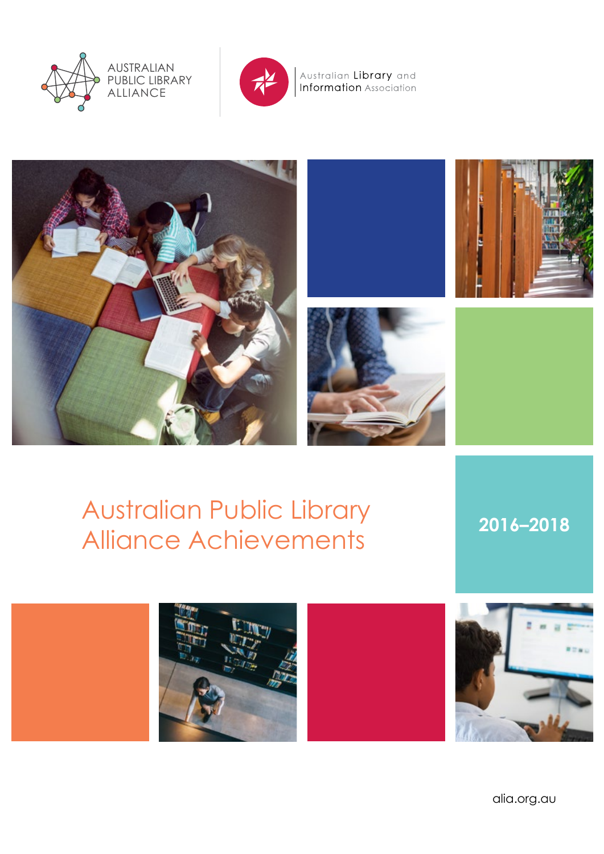



Australian Library and<br>Information Association







Australian Public Library Alliance Achievements **2016–2018**





alia.org.au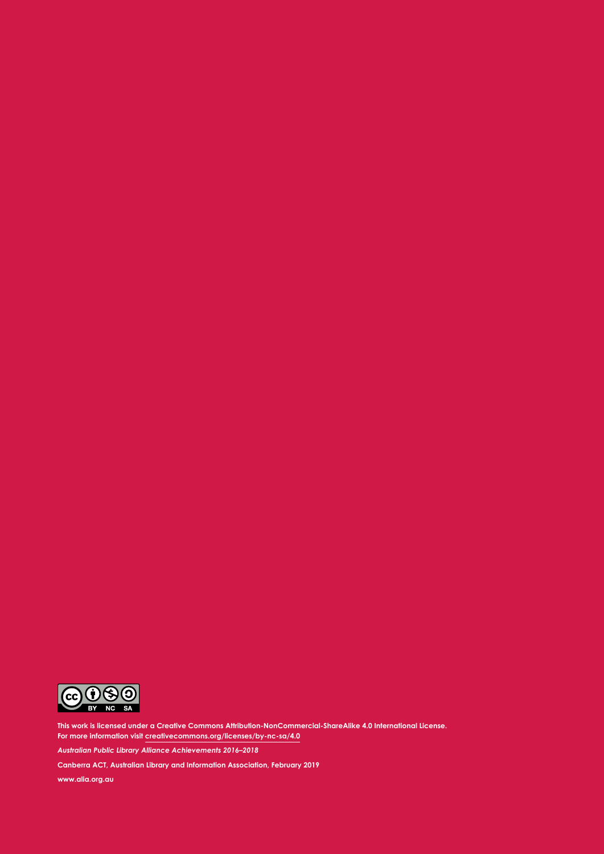

**This work is licensed under a Creative Commons Attribution-NonCommercial-ShareAlike 4.0 International License. For more information visit creativecommons.org/licenses/by-nc-sa/4.0**

*Australian Public Library Alliance Achievements 2016–2018*

**Canberra ACT, Australian Library and Information Association, February 2019**

**www.alia.org.au**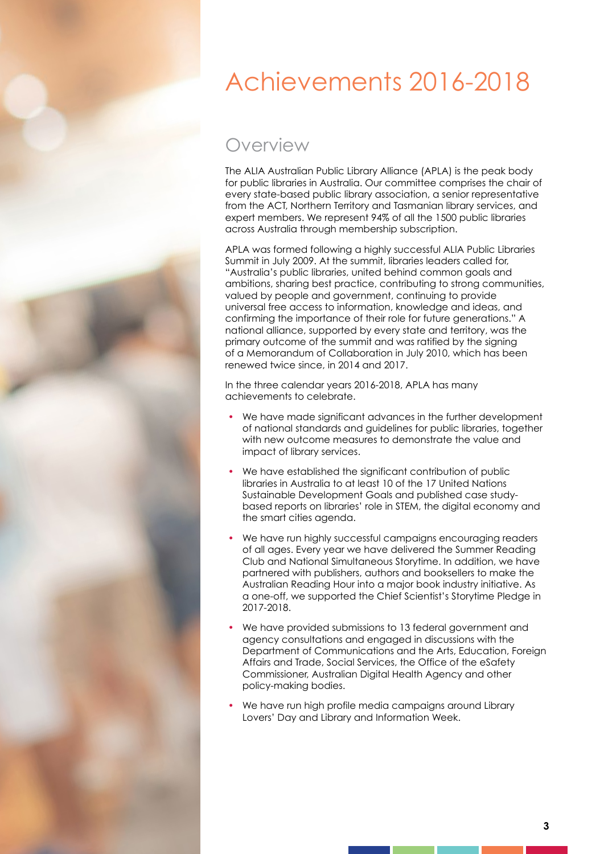# Achievements 2016-2018

### Overview

The ALIA Australian Public Library Alliance (APLA) is the peak body for public libraries in Australia. Our committee comprises the chair of every state-based public library association, a senior representative from the ACT, Northern Territory and Tasmanian library services, and expert members. We represent 94% of all the 1500 public libraries across Australia through membership subscription.

APLA was formed following a highly successful ALIA Public Libraries Summit in July 2009. At the summit, libraries leaders called for, "Australia's public libraries, united behind common goals and ambitions, sharing best practice, contributing to strong communities, valued by people and government, continuing to provide universal free access to information, knowledge and ideas, and confirming the importance of their role for future generations." A national alliance, supported by every state and territory, was the primary outcome of the summit and was ratified by the signing of a Memorandum of Collaboration in July 2010, which has been renewed twice since, in 2014 and 2017.

In the three calendar years 2016-2018, APLA has many achievements to celebrate.

- We have made significant advances in the further development of national standards and guidelines for public libraries, together with new outcome measures to demonstrate the value and impact of library services.
- We have established the significant contribution of public libraries in Australia to at least 10 of the 17 United Nations Sustainable Development Goals and published case studybased reports on libraries' role in STEM, the digital economy and the smart cities agenda.
- We have run highly successful campaigns encouraging readers of all ages. Every year we have delivered the Summer Reading Club and National Simultaneous Storytime. In addition, we have partnered with publishers, authors and booksellers to make the Australian Reading Hour into a major book industry initiative. As a one-off, we supported the Chief Scientist's Storytime Pledge in 2017-2018.
- We have provided submissions to 13 federal government and agency consultations and engaged in discussions with the Department of Communications and the Arts, Education, Foreign Affairs and Trade, Social Services, the Office of the eSafety Commissioner, Australian Digital Health Agency and other policy-making bodies.
- We have run high profile media campaigns around Library Lovers' Day and Library and Information Week.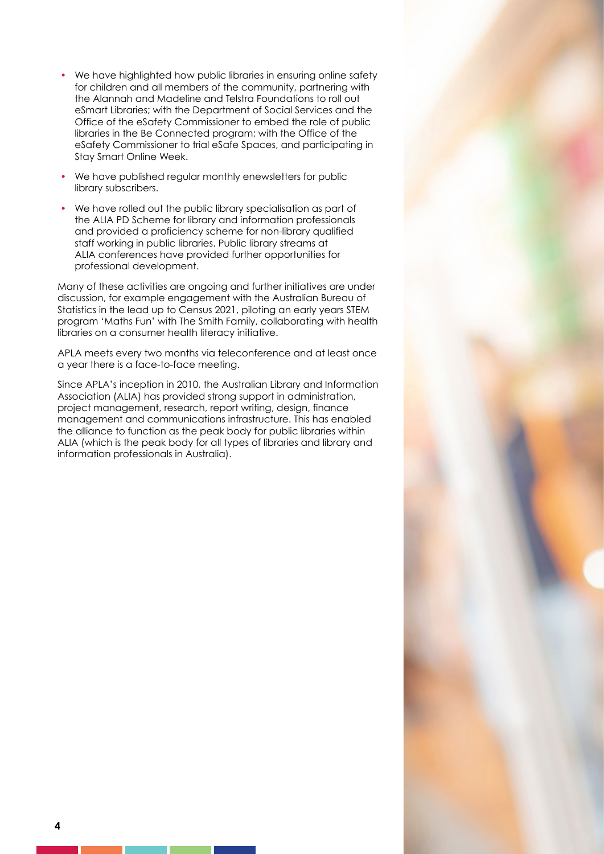- We have highlighted how public libraries in ensuring online safety for children and all members of the community, partnering with the Alannah and Madeline and Telstra Foundations to roll out eSmart Libraries; with the Department of Social Services and the Office of the eSafety Commissioner to embed the role of public libraries in the Be Connected program; with the Office of the eSafety Commissioner to trial eSafe Spaces, and participating in Stay Smart Online Week.
- We have published regular monthly enewsletters for public library subscribers.
- We have rolled out the public library specialisation as part of the ALIA PD Scheme for library and information professionals and provided a proficiency scheme for non-library qualified staff working in public libraries. Public library streams at ALIA conferences have provided further opportunities for professional development.

Many of these activities are ongoing and further initiatives are under discussion, for example engagement with the Australian Bureau of Statistics in the lead up to Census 2021, piloting an early years STEM program 'Maths Fun' with The Smith Family, collaborating with health libraries on a consumer health literacy initiative.

APLA meets every two months via teleconference and at least once a year there is a face-to-face meeting.

Since APLA's inception in 2010, the Australian Library and Information Association (ALIA) has provided strong support in administration, project management, research, report writing, design, finance management and communications infrastructure. This has enabled the alliance to function as the peak body for public libraries within ALIA (which is the peak body for all types of libraries and library and information professionals in Australia).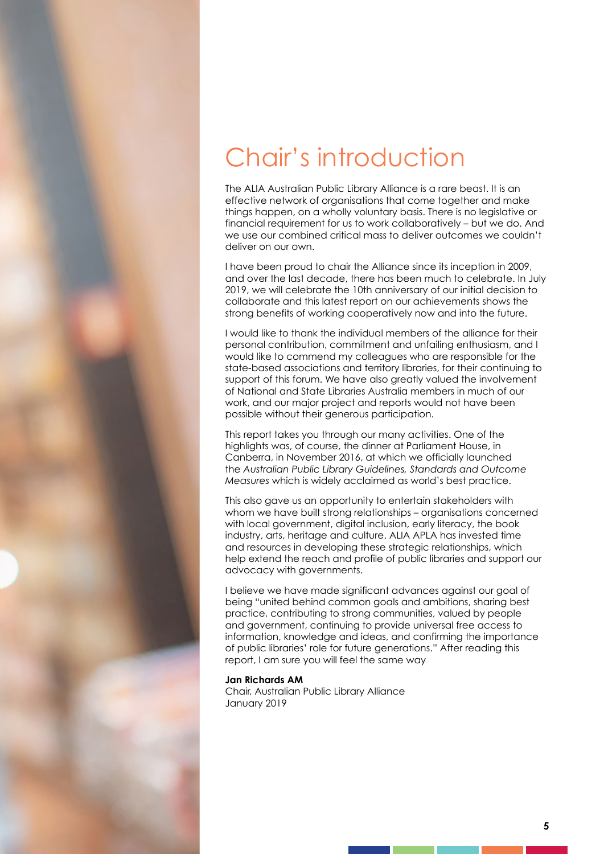# Chair's introduction

The ALIA Australian Public Library Alliance is a rare beast. It is an effective network of organisations that come together and make things happen, on a wholly voluntary basis. There is no legislative or financial requirement for us to work collaboratively – but we do. And we use our combined critical mass to deliver outcomes we couldn't deliver on our own.

I have been proud to chair the Alliance since its inception in 2009, and over the last decade, there has been much to celebrate. In July 2019, we will celebrate the 10th anniversary of our initial decision to collaborate and this latest report on our achievements shows the strong benefits of working cooperatively now and into the future.

I would like to thank the individual members of the alliance for their personal contribution, commitment and unfailing enthusiasm, and I would like to commend my colleagues who are responsible for the state-based associations and territory libraries, for their continuing to support of this forum. We have also greatly valued the involvement of National and State Libraries Australia members in much of our work, and our major project and reports would not have been possible without their generous participation.

This report takes you through our many activities. One of the highlights was, of course, the dinner at Parliament House, in Canberra, in November 2016, at which we officially launched the *Australian Public Library Guidelines, Standards and Outcome Measures* which is widely acclaimed as world's best practice.

This also gave us an opportunity to entertain stakeholders with whom we have built strong relationships – organisations concerned with local government, digital inclusion, early literacy, the book industry, arts, heritage and culture. ALIA APLA has invested time and resources in developing these strategic relationships, which help extend the reach and profile of public libraries and support our advocacy with governments.

I believe we have made significant advances against our goal of being "united behind common goals and ambitions, sharing best practice, contributing to strong communities, valued by people and government, continuing to provide universal free access to information, knowledge and ideas, and confirming the importance of public libraries' role for future generations." After reading this report, I am sure you will feel the same way

#### **Jan Richards AM**

Chair, Australian Public Library Alliance January 2019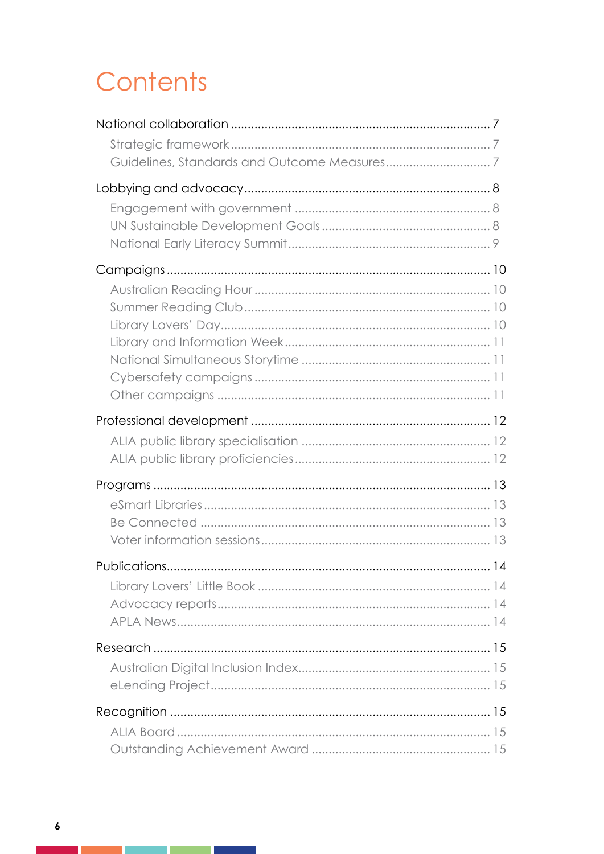# Contents

| Publications |  |
|--------------|--|
|              |  |
|              |  |

T F

<u> 1999 - Jan Sterlingen i Sterlingen i Sterlingen i Sterlingen i Sterlingen i Sterlingen i Sterlingen i Sterlin</u>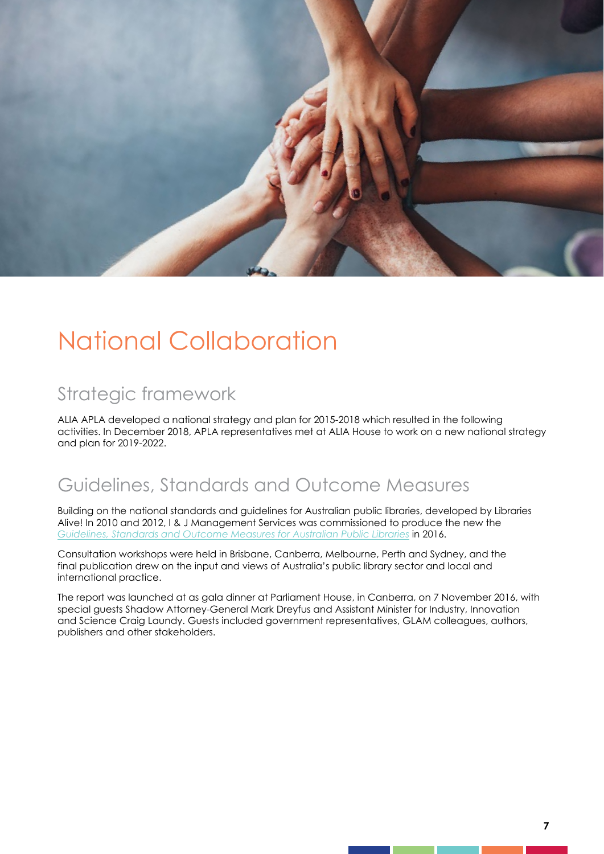

# National Collaboration

### Strategic framework

ALIA APLA developed a national strategy and plan for 2015-2018 which resulted in the following activities. In December 2018, APLA representatives met at ALIA House to work on a new national strategy and plan for 2019-2022.

### Guidelines, Standards and Outcome Measures

Building on the national standards and guidelines for Australian public libraries, developed by Libraries Alive! In 2010 and 2012, I & J Management Services was commissioned to produce the new the *Guidelines, Standards and Outcome Measures for Australian Public Libraries* in 2016.

Consultation workshops were held in Brisbane, Canberra, Melbourne, Perth and Sydney, and the final publication drew on the input and views of Australia's public library sector and local and international practice.

The report was launched at as gala dinner at Parliament House, in Canberra, on 7 November 2016, with special guests Shadow Attorney-General Mark Dreyfus and Assistant Minister for Industry, Innovation and Science Craig Laundy. Guests included government representatives, GLAM colleagues, authors, publishers and other stakeholders.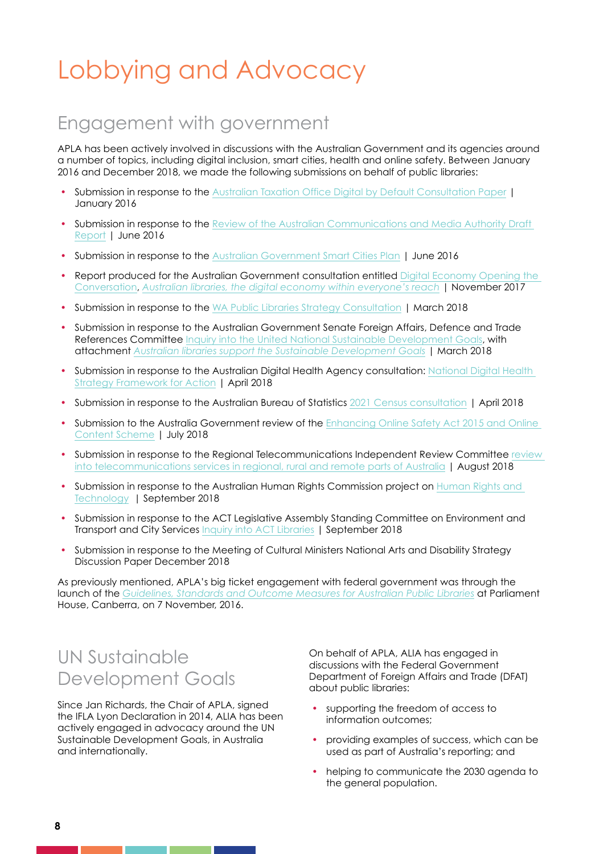# Lobbying and Advocacy

### Engagement with government

APLA has been actively involved in discussions with the Australian Government and its agencies around a number of topics, including digital inclusion, smart cities, health and online safety. Between January 2016 and December 2018, we made the following submissions on behalf of public libraries:

- Submission in response to the Australian Taxation Office Digital by Default Consultation Paper | January 2016
- Submission in response to the Review of the Australian Communications and Media Authority Draft Report | June 2016
- Submission in response to the Australian Government Smart Cities Plan | June 2016
- Report produced for the Australian Government consultation entitled Digital Economy Opening the Conversation, *Australian libraries, the digital economy within everyone's reach* | November 2017
- Submission in response to the WA Public Libraries Strategy Consultation | March 2018
- Submission in response to the Australian Government Senate Foreign Affairs, Defence and Trade References Committee Inquiry into the United National Sustainable Development Goals, with attachment *Australian libraries support the Sustainable Development Goals* | March 2018
- Submission in response to the Australian Digital Health Agency consultation: National Digital Health Strategy Framework for Action | April 2018
- Submission in response to the Australian Bureau of Statistics 2021 Census consultation | April 2018
- Submission to the Australia Government review of the Enhancing Online Safety Act 2015 and Online Content Scheme | July 2018
- Submission in response to the Regional Telecommunications Independent Review Committee review into telecommunications services in regional, rural and remote parts of Australia | August 2018
- Submission in response to the Australian Human Rights Commission project on Human Rights and Technology | September 2018
- Submission in response to the ACT Legislative Assembly Standing Committee on Environment and Transport and City Services Inquiry into ACT Libraries | September 2018
- Submission in response to the Meeting of Cultural Ministers National Arts and Disability Strategy Discussion Paper December 2018

As previously mentioned, APLA's big ticket engagement with federal government was through the launch of the *Guidelines, Standards and Outcome Measures for Australian Public Libraries* at Parliament House, Canberra, on 7 November, 2016.

#### UN Sustainable Development Goals

Since Jan Richards, the Chair of APLA, signed the IFLA Lyon Declaration in 2014, ALIA has been actively engaged in advocacy around the UN Sustainable Development Goals, in Australia and internationally.

On behalf of APLA, ALIA has engaged in discussions with the Federal Government Department of Foreign Affairs and Trade (DFAT) about public libraries:

- supporting the freedom of access to information outcomes;
- providing examples of success, which can be used as part of Australia's reporting; and
- helping to communicate the 2030 agenda to the general population.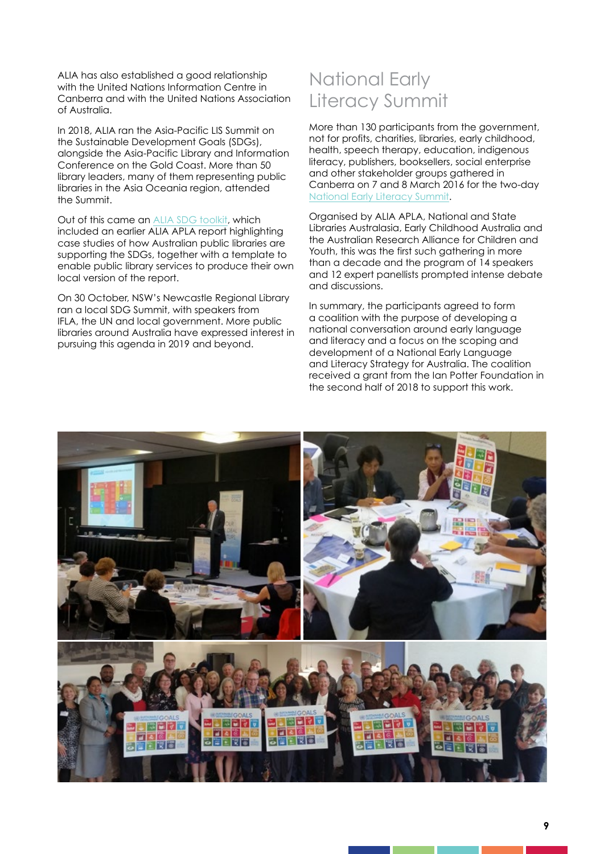ALIA has also established a good relationship with the United Nations Information Centre in Canberra and with the United Nations Association of Australia.

In 2018, ALIA ran the Asia-Pacific LIS Summit on the Sustainable Development Goals (SDGs), alongside the Asia-Pacific Library and Information Conference on the Gold Coast. More than 50 library leaders, many of them representing public libraries in the Asia Oceania region, attended the Summit.

Out of this came an ALIA SDG toolkit, which included an earlier ALIA APLA report highlighting case studies of how Australian public libraries are supporting the SDGs, together with a template to enable public library services to produce their own local version of the report.

On 30 October, NSW's Newcastle Regional Library ran a local SDG Summit, with speakers from IFLA, the UN and local government. More public libraries around Australia have expressed interest in pursuing this agenda in 2019 and beyond.

### National Early Literacy Summit

More than 130 participants from the government, not for profits, charities, libraries, early childhood, health, speech therapy, education, indigenous literacy, publishers, booksellers, social enterprise and other stakeholder groups gathered in Canberra on 7 and 8 March 2016 for the two-day National Early Literacy Summit.

Organised by ALIA APLA, National and State Libraries Australasia, Early Childhood Australia and the Australian Research Alliance for Children and Youth, this was the first such gathering in more than a decade and the program of 14 speakers and 12 expert panellists prompted intense debate and discussions.

In summary, the participants agreed to form a coalition with the purpose of developing a national conversation around early language and literacy and a focus on the scoping and development of a National Early Language and Literacy Strategy for Australia. The coalition received a grant from the Ian Potter Foundation in the second half of 2018 to support this work.

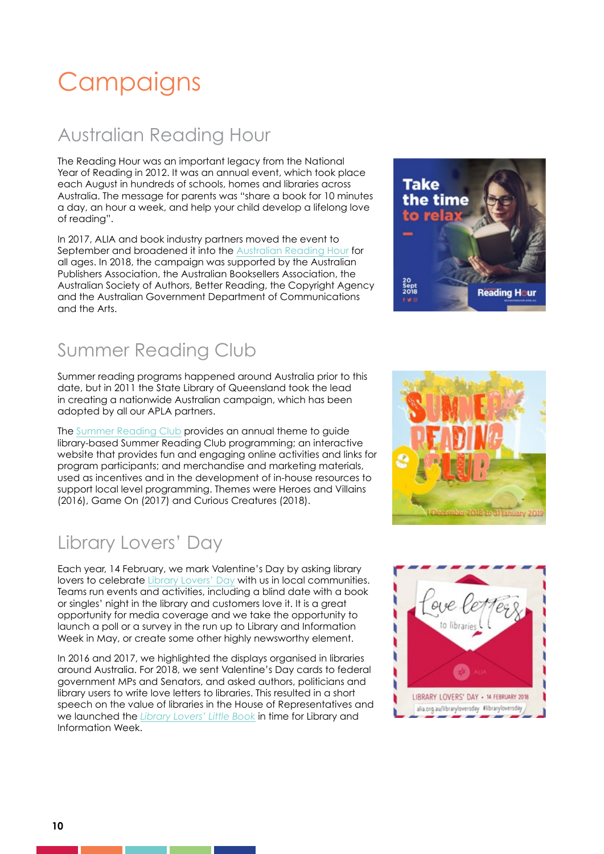# **Campaigns**

### Australian Reading Hour

The Reading Hour was an important legacy from the National Year of Reading in 2012. It was an annual event, which took place each August in hundreds of schools, homes and libraries across Australia. The message for parents was "share a book for 10 minutes a day, an hour a week, and help your child develop a lifelong love of reading".

In 2017, ALIA and book industry partners moved the event to September and broadened it into the Australian Reading Hour for all ages. In 2018, the campaign was supported by the Australian Publishers Association, the Australian Booksellers Association, the Australian Society of Authors, Better Reading, the Copyright Agency and the Australian Government Department of Communications and the Arts.

### Summer Reading Club

Summer reading programs happened around Australia prior to this date, but in 2011 the State Library of Queensland took the lead in creating a nationwide Australian campaign, which has been adopted by all our APLA partners.

The Summer Reading Club provides an annual theme to guide library-based Summer Reading Club programming; an interactive website that provides fun and engaging online activities and links for program participants; and merchandise and marketing materials, used as incentives and in the development of in-house resources to support local level programming. Themes were Heroes and Villains (2016), Game On (2017) and Curious Creatures (2018).

### Library Lovers' Day

Each year, 14 February, we mark Valentine's Day by asking library lovers to celebrate Library Lovers' Day with us in local communities. Teams run events and activities, including a blind date with a book or singles' night in the library and customers love it. It is a great opportunity for media coverage and we take the opportunity to launch a poll or a survey in the run up to Library and Information Week in May, or create some other highly newsworthy element.

In 2016 and 2017, we highlighted the displays organised in libraries around Australia. For 2018, we sent Valentine's Day cards to federal government MPs and Senators, and asked authors, politicians and library users to write love letters to libraries. This resulted in a short speech on the value of libraries in the House of Representatives and we launched the *Library Lovers' Little Book* in time for Library and Information Week.





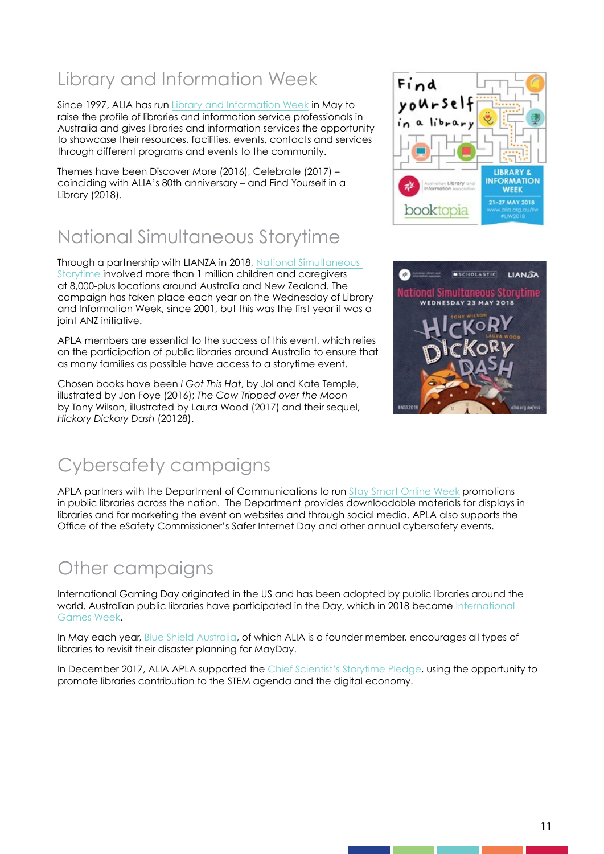### Library and Information Week

Since 1997, ALIA has run Library and Information Week in May to raise the profile of libraries and information service professionals in Australia and gives libraries and information services the opportunity to showcase their resources, facilities, events, contacts and services through different programs and events to the community.

Themes have been Discover More (2016), Celebrate (2017) – coinciding with ALIA's 80th anniversary – and Find Yourself in a Library (2018).

### National Simultaneous Storytime

Through a partnership with LIANZA in 2018, National Simultaneous Storytime involved more than 1 million children and caregivers at 8,000-plus locations around Australia and New Zealand. The campaign has taken place each year on the Wednesday of Library and Information Week, since 2001, but this was the first year it was a joint ANZ initiative.

APLA members are essential to the success of this event, which relies on the participation of public libraries around Australia to ensure that as many families as possible have access to a storytime event.

Chosen books have been *I Got This Hat*, by Jol and Kate Temple, illustrated by Jon Foye (2016); *The Cow Tripped over the Moon* by Tony Wilson, illustrated by Laura Wood (2017) and their sequel, *Hickory Dickory Dash* (20128).





### Cybersafety campaigns

APLA partners with the Department of Communications to run Stay Smart Online Week promotions in public libraries across the nation. The Department provides downloadable materials for displays in libraries and for marketing the event on websites and through social media. APLA also supports the Office of the eSafety Commissioner's Safer Internet Day and other annual cybersafety events.

#### Other campaigns

International Gaming Day originated in the US and has been adopted by public libraries around the world. Australian public libraries have participated in the Day, which in 2018 became International Games Week.

In May each year, Blue Shield Australia, of which ALIA is a founder member, encourages all types of libraries to revisit their disaster planning for MayDay.

In December 2017, ALIA APLA supported the Chief Scientist's Storytime Pledge, using the opportunity to promote libraries contribution to the STEM agenda and the digital economy.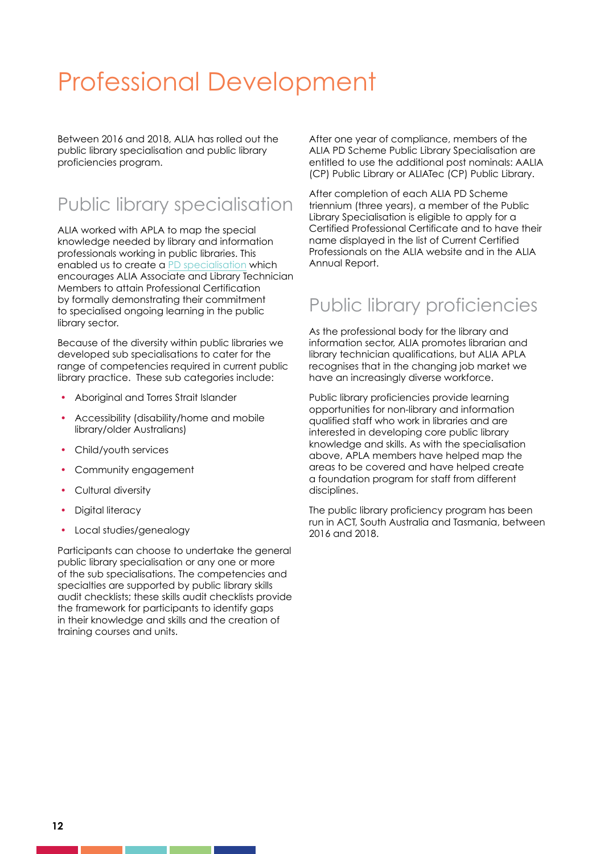## Professional Development

Between 2016 and 2018, ALIA has rolled out the public library specialisation and public library proficiencies program.

### Public library specialisation

ALIA worked with APLA to map the special knowledge needed by library and information professionals working in public libraries. This enabled us to create a PD specialisation which encourages ALIA Associate and Library Technician Members to attain Professional Certification by formally demonstrating their commitment to specialised ongoing learning in the public library sector.

Because of the diversity within public libraries we developed sub specialisations to cater for the range of competencies required in current public library practice. These sub categories include:

- Aboriginal and Torres Strait Islander
- Accessibility (disability/home and mobile library/older Australians)
- Child/youth services
- Community engagement
- Cultural diversity
- Digital literacy
- Local studies/genealogy

Participants can choose to undertake the general public library specialisation or any one or more of the sub specialisations. The competencies and specialties are supported by public library skills audit checklists; these skills audit checklists provide the framework for participants to identify gaps in their knowledge and skills and the creation of training courses and units.

After one year of compliance, members of the ALIA PD Scheme Public Library Specialisation are entitled to use the additional post nominals: AALIA (CP) Public Library or ALIATec (CP) Public Library.

After completion of each ALIA PD Scheme triennium (three years), a member of the Public Library Specialisation is eligible to apply for a Certified Professional Certificate and to have their name displayed in the list of Current Certified Professionals on the ALIA website and in the ALIA Annual Report.

### Public library proficiencies

As the professional body for the library and information sector, ALIA promotes librarian and library technician qualifications, but ALIA APLA recognises that in the changing job market we have an increasingly diverse workforce.

Public library proficiencies provide learning opportunities for non-library and information qualified staff who work in libraries and are interested in developing core public library knowledge and skills. As with the specialisation above, APLA members have helped map the areas to be covered and have helped create a foundation program for staff from different disciplines.

The public library proficiency program has been run in ACT, South Australia and Tasmania, between 2016 and 2018.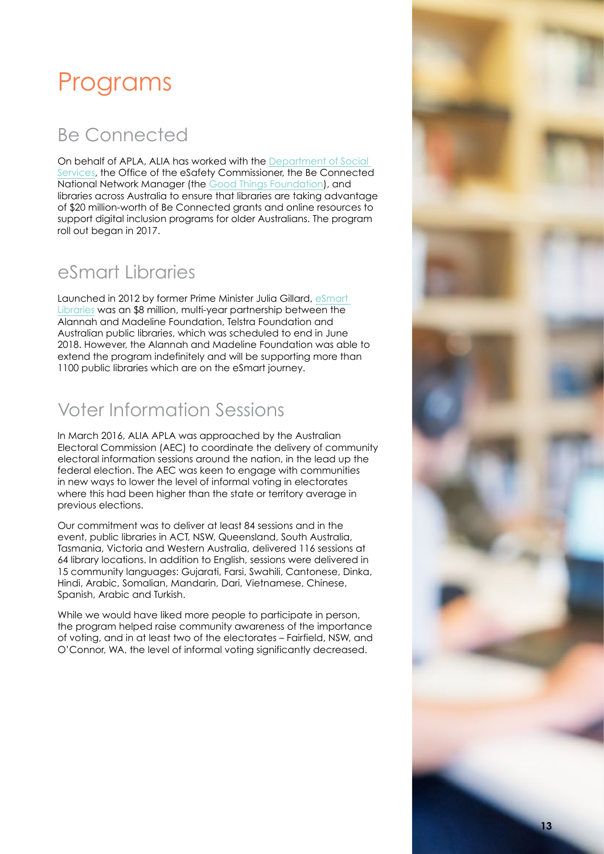### Programs

### Be Connected

On behalf of APLA, ALIA has worked with the Department of Social Services, the Office of the eSafety Commissioner, the Be Connected National Network Manager (the Good Things Foundation), and libraries across Australia to ensure that libraries are taking advantage of \$20 million-worth of Be Connected grants and online resources to support digital inclusion programs for older Australians. The program roll out began in 2017.

### eSmart Libraries

Launched in 2012 by former Prime Minister Julia Gillard, eSmart Libraries was an \$8 million, multi-year partnership between the Alannah and Madeline Foundation, Telstra Foundation and Australian public libraries, which was scheduled to end in June 2018. However, the Alannah and Madeline Foundation was able to extend the program indefinitely and will be supporting more than 1100 public libraries which are on the eSmart journey.

### Voter Information Sessions

In March 2016, ALIA APLA was approached by the Australian Electoral Commission (AEC) to coordinate the delivery of community electoral information sessions around the nation, in the lead up the federal election. The AEC was keen to engage with communities in new ways to lower the level of informal voting in electorates where this had been higher than the state or territory average in previous elections.

Our commitment was to deliver at least 84 sessions and in the event, public libraries in ACT, NSW, Queensland, South Australia, Tasmania, Victoria and Western Australia, delivered 116 sessions at 64 library locations. In addition to English, sessions were delivered in 15 community languages: Gujarati, Farsi, Swahili, Cantonese, Dinka, Hindi, Arabic, Somalian, Mandarin, Dari, Vietnamese, Chinese, Spanish, Arabic and Turkish.

While we would have liked more people to participate in person, the program helped raise community awareness of the importance of voting, and in at least two of the electorates – Fairfield, NSW, and O'Connor, WA, the level of informal voting significantly decreased.

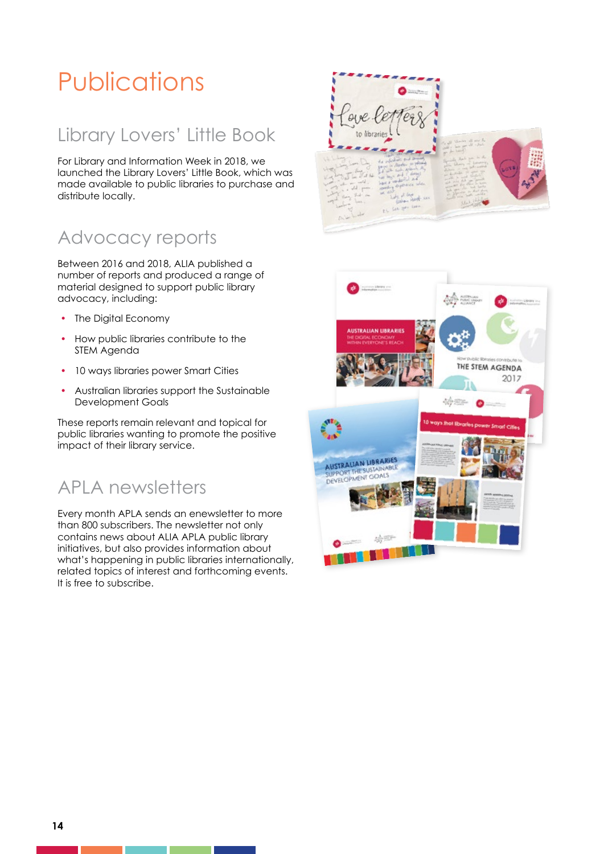# Publications

### Library Lovers' Little Book

For Library and Information Week in 2018, we launched the Library Lovers' Little Book, which was made available to public libraries to purchase and distribute locally.

### Advocacy reports

Between 2016 and 2018, ALIA published a number of reports and produced a range of material designed to support public library advocacy, including:

- The Digital Economy
- How public libraries contribute to the STEM Agenda
- 10 ways libraries power Smart Cities
- Australian libraries support the Sustainable Development Goals

These reports remain relevant and topical for public libraries wanting to promote the positive impact of their library service.

### APLA newsletters

Every month APLA sends an enewsletter to more than 800 subscribers. The newsletter not only contains news about ALIA APLA public library initiatives, but also provides information about what's happening in public libraries internationally, related topics of interest and forthcoming events. It is free to subscribe.



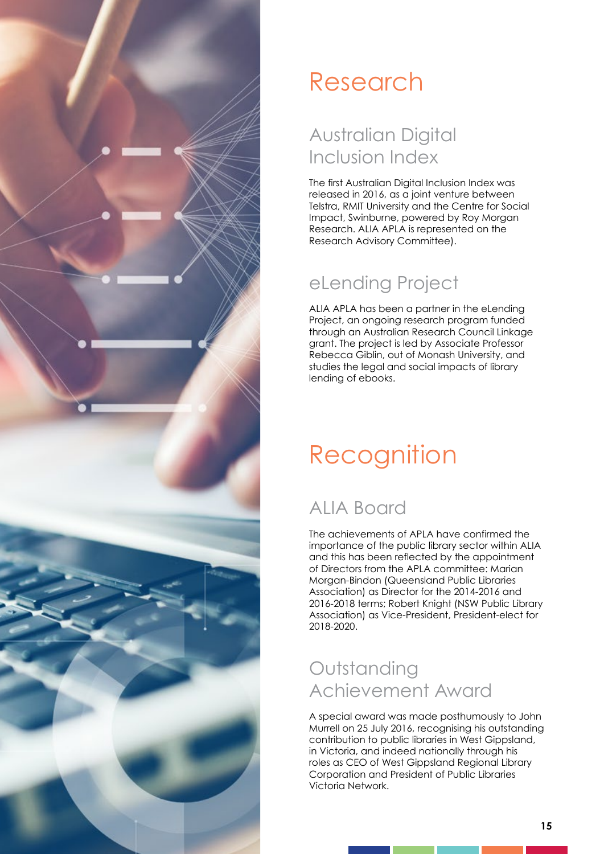

# Research

### Australian Digital Inclusion Index

The first Australian Digital Inclusion Index was released in 2016, as a joint venture between Telstra, RMIT University and the Centre for Social Impact, Swinburne, powered by Roy Morgan Research. ALIA APLA is represented on the Research Advisory Committee).

### eLending Project

ALIA APLA has been a partner in the eLending Project, an ongoing research program funded through an Australian Research Council Linkage grant. The project is led by Associate Professor Rebecca Giblin, out of Monash University, and studies the legal and social impacts of library lending of ebooks.

# **Recognition**

### ALIA Board

The achievements of APLA have confirmed the importance of the public library sector within ALIA and this has been reflected by the appointment of Directors from the APLA committee: Marian Morgan-Bindon (Queensland Public Libraries Association) as Director for the 2014-2016 and 2016-2018 terms; Robert Knight (NSW Public Library Association) as Vice-President, President-elect for 2018-2020.

### **Outstanding** Achievement Award

A special award was made posthumously to John Murrell on 25 July 2016, recognising his outstanding contribution to public libraries in West Gippsland, in Victoria, and indeed nationally through his roles as CEO of West Gippsland Regional Library Corporation and President of Public Libraries Victoria Network.